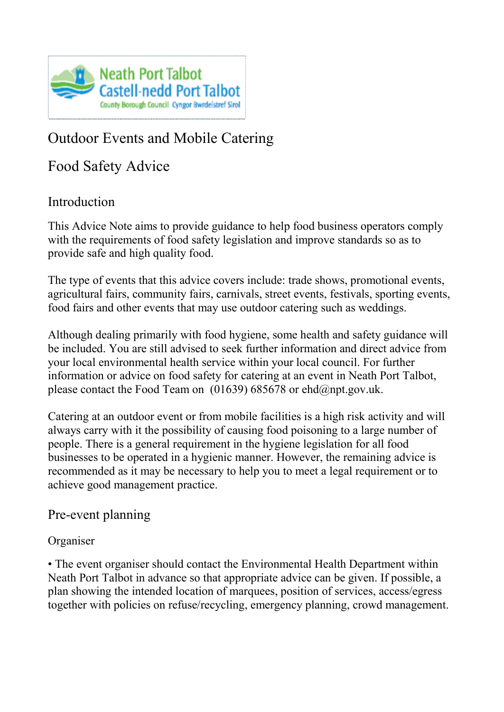

## Outdoor Events and Mobile Catering

Food Safety Advice

## Introduction

This Advice Note aims to provide guidance to help food business operators comply with the requirements of food safety legislation and improve standards so as to provide safe and high quality food.

The type of events that this advice covers include: trade shows, promotional events, agricultural fairs, community fairs, carnivals, street events, festivals, sporting events, food fairs and other events that may use outdoor catering such as weddings.

Although dealing primarily with food hygiene, some health and safety guidance will be included. You are still advised to seek further information and direct advice from your local environmental health service within your local council. For further information or advice on food safety for catering at an event in Neath Port Talbot, please contact the Food Team on  $(01639)$  685678 or ehd $@$ npt.gov.uk.

Catering at an outdoor event or from mobile facilities is a high risk activity and will always carry with it the possibility of causing food poisoning to a large number of people. There is a general requirement in the hygiene legislation for all food businesses to be operated in a hygienic manner. However, the remaining advice is recommended as it may be necessary to help you to meet a legal requirement or to achieve good management practice.

#### Pre-event planning

#### Organiser

• The event organiser should contact the Environmental Health Department within Neath Port Talbot in advance so that appropriate advice can be given. If possible, a plan showing the intended location of marquees, position of services, access/egress together with policies on refuse/recycling, emergency planning, crowd management.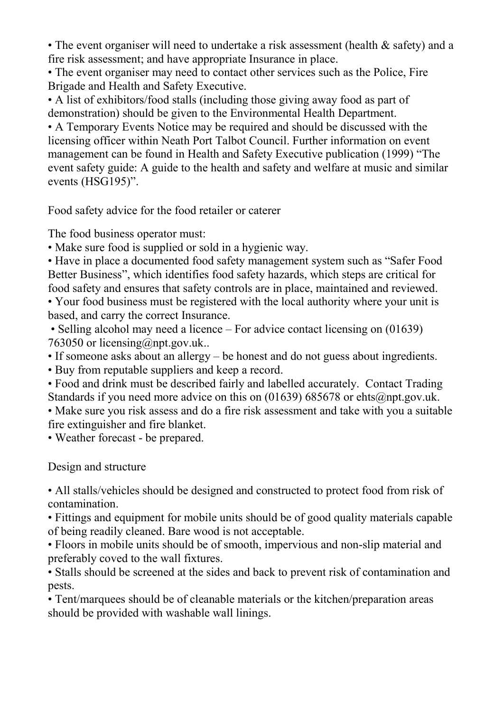• The event organiser will need to undertake a risk assessment (health & safety) and a fire risk assessment; and have appropriate Insurance in place.

• The event organiser may need to contact other services such as the Police, Fire Brigade and Health and Safety Executive.

• A list of exhibitors/food stalls (including those giving away food as part of demonstration) should be given to the Environmental Health Department.

• A Temporary Events Notice may be required and should be discussed with the licensing officer within Neath Port Talbot Council. Further information on event management can be found in Health and Safety Executive publication (1999) "The event safety guide: A guide to the health and safety and welfare at music and similar events (HSG195)".

Food safety advice for the food retailer or caterer

The food business operator must:

• Make sure food is supplied or sold in a hygienic way.

• Have in place a documented food safety management system such as "Safer Food Better Business", which identifies food safety hazards, which steps are critical for food safety and ensures that safety controls are in place, maintained and reviewed.

• Your food business must be registered with the local authority where your unit is based, and carry the correct Insurance.

• Selling alcohol may need a licence – For advice contact licensing on (01639) 763050 or licensing@npt.gov.uk..

• If someone asks about an allergy – be honest and do not guess about ingredients.

• Buy from reputable suppliers and keep a record.

• Food and drink must be described fairly and labelled accurately. Contact Trading Standards if you need more advice on this on (01639) 685678 or ehts@npt.gov.uk.

• Make sure you risk assess and do a fire risk assessment and take with you a suitable fire extinguisher and fire blanket.

• Weather forecast - be prepared.

Design and structure

• All stalls/vehicles should be designed and constructed to protect food from risk of contamination.

• Fittings and equipment for mobile units should be of good quality materials capable of being readily cleaned. Bare wood is not acceptable.

• Floors in mobile units should be of smooth, impervious and non-slip material and preferably coved to the wall fixtures.

• Stalls should be screened at the sides and back to prevent risk of contamination and pests.

• Tent/marquees should be of cleanable materials or the kitchen/preparation areas should be provided with washable wall linings.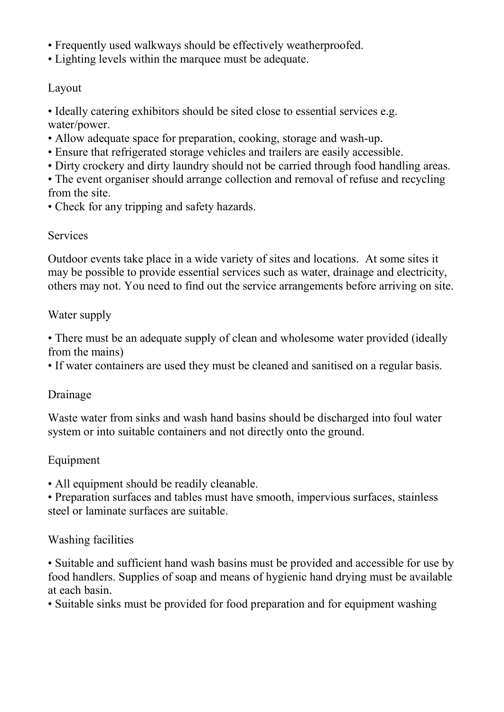- Frequently used walkways should be effectively weatherproofed.
- Lighting levels within the marquee must be adequate.

#### Layout

• Ideally catering exhibitors should be sited close to essential services e.g. water/power.

- Allow adequate space for preparation, cooking, storage and wash-up.
- Ensure that refrigerated storage vehicles and trailers are easily accessible.
- Dirty crockery and dirty laundry should not be carried through food handling areas.
- The event organiser should arrange collection and removal of refuse and recycling from the site.
- Check for any tripping and safety hazards.

#### **Services**

Outdoor events take place in a wide variety of sites and locations. At some sites it may be possible to provide essential services such as water, drainage and electricity, others may not. You need to find out the service arrangements before arriving on site.

#### Water supply

• There must be an adequate supply of clean and wholesome water provided (ideally from the mains)

• If water containers are used they must be cleaned and sanitised on a regular basis.

#### Drainage

Waste water from sinks and wash hand basins should be discharged into foul water system or into suitable containers and not directly onto the ground.

#### Equipment

• All equipment should be readily cleanable.

• Preparation surfaces and tables must have smooth, impervious surfaces, stainless steel or laminate surfaces are suitable.

#### Washing facilities

• Suitable and sufficient hand wash basins must be provided and accessible for use by food handlers. Supplies of soap and means of hygienic hand drying must be available at each basin.

• Suitable sinks must be provided for food preparation and for equipment washing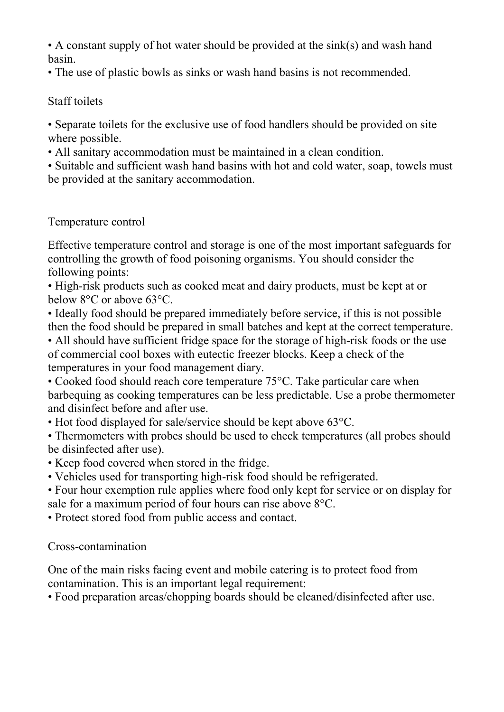• A constant supply of hot water should be provided at the sink(s) and wash hand basin.

• The use of plastic bowls as sinks or wash hand basins is not recommended.

#### Staff toilets

• Separate toilets for the exclusive use of food handlers should be provided on site where possible.

• All sanitary accommodation must be maintained in a clean condition.

• Suitable and sufficient wash hand basins with hot and cold water, soap, towels must be provided at the sanitary accommodation.

### Temperature control

Effective temperature control and storage is one of the most important safeguards for controlling the growth of food poisoning organisms. You should consider the following points:

• High-risk products such as cooked meat and dairy products, must be kept at or below 8°C or above 63°C.

• Ideally food should be prepared immediately before service, if this is not possible then the food should be prepared in small batches and kept at the correct temperature. • All should have sufficient fridge space for the storage of high-risk foods or the use

of commercial cool boxes with eutectic freezer blocks. Keep a check of the temperatures in your food management diary.

• Cooked food should reach core temperature 75 °C. Take particular care when barbequing as cooking temperatures can be less predictable. Use a probe thermometer and disinfect before and after use.

• Hot food displayed for sale/service should be kept above 63 °C.

• Thermometers with probes should be used to check temperatures (all probes should be disinfected after use).

• Keep food covered when stored in the fridge.

• Vehicles used for transporting high-risk food should be refrigerated.

• Four hour exemption rule applies where food only kept for service or on display for sale for a maximum period of four hours can rise above 8°C.

• Protect stored food from public access and contact.

#### Cross-contamination

One of the main risks facing event and mobile catering is to protect food from contamination. This is an important legal requirement:

• Food preparation areas/chopping boards should be cleaned/disinfected after use.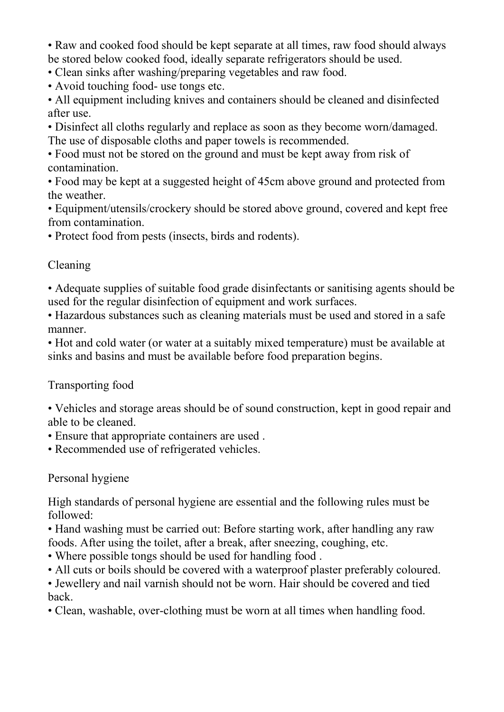• Raw and cooked food should be kept separate at all times, raw food should always be stored below cooked food, ideally separate refrigerators should be used.

• Clean sinks after washing/preparing vegetables and raw food.

• Avoid touching food- use tongs etc.

• All equipment including knives and containers should be cleaned and disinfected after use.

• Disinfect all cloths regularly and replace as soon as they become worn/damaged. The use of disposable cloths and paper towels is recommended.

• Food must not be stored on the ground and must be kept away from risk of contamination.

• Food may be kept at a suggested height of 45cm above ground and protected from the weather.

• Equipment/utensils/crockery should be stored above ground, covered and kept free from contamination.

• Protect food from pests (insects, birds and rodents).

#### Cleaning

• Adequate supplies of suitable food grade disinfectants or sanitising agents should be used for the regular disinfection of equipment and work surfaces.

• Hazardous substances such as cleaning materials must be used and stored in a safe manner.

• Hot and cold water (or water at a suitably mixed temperature) must be available at sinks and basins and must be available before food preparation begins.

#### Transporting food

• Vehicles and storage areas should be of sound construction, kept in good repair and able to be cleaned.

- Ensure that appropriate containers are used .
- Recommended use of refrigerated vehicles.

## Personal hygiene

High standards of personal hygiene are essential and the following rules must be followed:

• Hand washing must be carried out: Before starting work, after handling any raw foods. After using the toilet, after a break, after sneezing, coughing, etc.

- Where possible tongs should be used for handling food .
- All cuts or boils should be covered with a waterproof plaster preferably coloured.

• Jewellery and nail varnish should not be worn. Hair should be covered and tied back.

• Clean, washable, over-clothing must be worn at all times when handling food.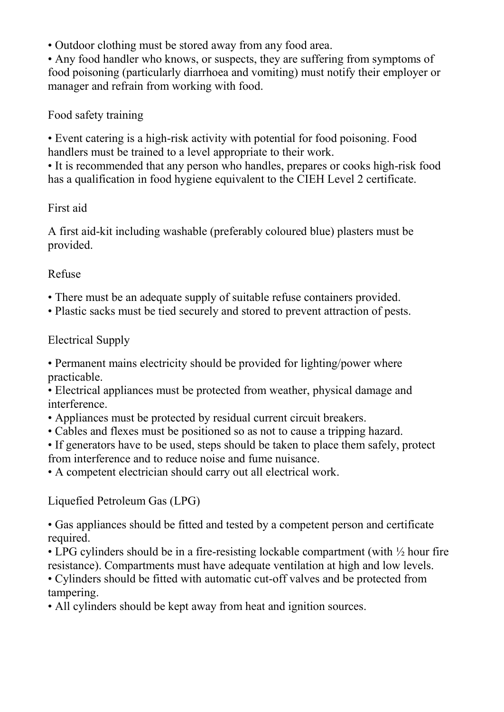• Outdoor clothing must be stored away from any food area.

• Any food handler who knows, or suspects, they are suffering from symptoms of food poisoning (particularly diarrhoea and vomiting) must notify their employer or manager and refrain from working with food.

Food safety training

• Event catering is a high-risk activity with potential for food poisoning. Food handlers must be trained to a level appropriate to their work.

• It is recommended that any person who handles, prepares or cooks high-risk food has a qualification in food hygiene equivalent to the CIEH Level 2 certificate.

#### First aid

A first aid-kit including washable (preferably coloured blue) plasters must be provided.

#### Refuse

- There must be an adequate supply of suitable refuse containers provided.
- Plastic sacks must be tied securely and stored to prevent attraction of pests.

### Electrical Supply

• Permanent mains electricity should be provided for lighting/power where practicable.

• Electrical appliances must be protected from weather, physical damage and interference.

- Appliances must be protected by residual current circuit breakers.
- Cables and flexes must be positioned so as not to cause a tripping hazard.

• If generators have to be used, steps should be taken to place them safely, protect from interference and to reduce noise and fume nuisance.

• A competent electrician should carry out all electrical work.

Liquefied Petroleum Gas (LPG)

• Gas appliances should be fitted and tested by a competent person and certificate required.

• LPG cylinders should be in a fire-resisting lockable compartment (with  $\frac{1}{2}$  hour fire resistance). Compartments must have adequate ventilation at high and low levels.

• Cylinders should be fitted with automatic cut-off valves and be protected from tampering.

• All cylinders should be kept away from heat and ignition sources.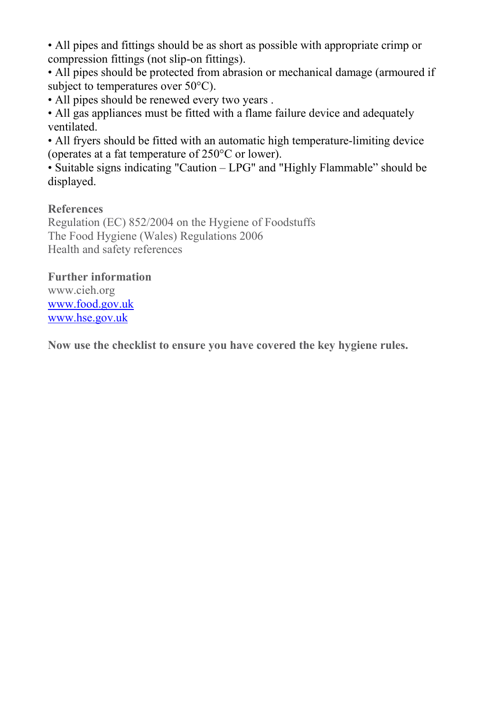• All pipes and fittings should be as short as possible with appropriate crimp or compression fittings (not slip-on fittings).

• All pipes should be protected from abrasion or mechanical damage (armoured if subject to temperatures over 50°C).

• All pipes should be renewed every two years .

• All gas appliances must be fitted with a flame failure device and adequately ventilated.

• All fryers should be fitted with an automatic high temperature-limiting device (operates at a fat temperature of 250°C or lower).

• Suitable signs indicating "Caution – LPG" and "Highly Flammable" should be displayed.

#### **References**

Regulation (EC) 852/2004 on the Hygiene of Foodstuffs The Food Hygiene (Wales) Regulations 2006 Health and safety references

#### **Further information**

www.cieh.org [www.food.gov.uk](http://www.food.gov.uk/) [www.hse.gov.uk](http://www.hse.gov.uk/)

Now use the checklist to ensure you have covered the key hygiene rules.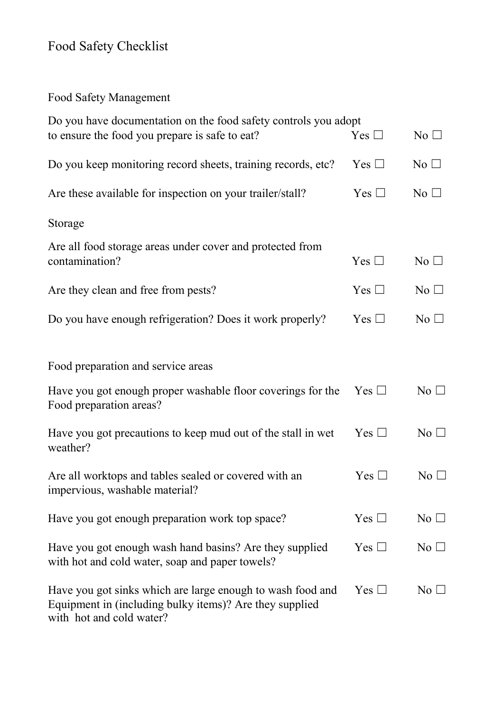# Food Safety Checklist

Food Safety Management

| Do you have documentation on the food safety controls you adopt                                                                                   |               |                 |  |
|---------------------------------------------------------------------------------------------------------------------------------------------------|---------------|-----------------|--|
| to ensure the food you prepare is safe to eat?                                                                                                    | Yes $\Box$    | No <sub>1</sub> |  |
| Do you keep monitoring record sheets, training records, etc?                                                                                      | Yes $\square$ | $No$ $\square$  |  |
| Are these available for inspection on your trailer/stall?                                                                                         | Yes $\square$ | $\rm No$ $\Box$ |  |
| Storage                                                                                                                                           |               |                 |  |
| Are all food storage areas under cover and protected from<br>contamination?                                                                       | Yes $\Box$    | $No$ $\square$  |  |
| Are they clean and free from pests?                                                                                                               | Yes $\Box$    | $No$ $\square$  |  |
| Do you have enough refrigeration? Does it work properly?                                                                                          | Yes $\Box$    | No $\square$    |  |
| Food preparation and service areas                                                                                                                |               |                 |  |
| Have you got enough proper washable floor coverings for the<br>Food preparation areas?                                                            | $Yes \Box$    | No $\Box$       |  |
| Have you got precautions to keep mud out of the stall in wet<br>weather?                                                                          | Yes $\Box$    | No <sub>1</sub> |  |
| Are all worktops and tables sealed or covered with an<br>impervious, washable material?                                                           | Yes $\square$ | $\rm No \ \Box$ |  |
| Have you got enough preparation work top space?                                                                                                   | Yes $\square$ | No $\square$    |  |
| Have you got enough wash hand basins? Are they supplied<br>with hot and cold water, soap and paper towels?                                        | Yes $\Box$    | $No$ $\square$  |  |
| Have you got sinks which are large enough to wash food and<br>Equipment in (including bulky items)? Are they supplied<br>with hot and cold water? | Yes $\Box$    | $\rm No$ $\Box$ |  |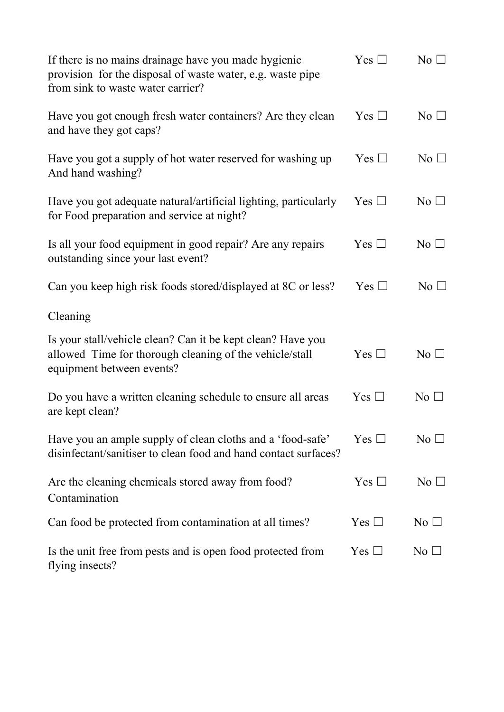| If there is no mains drainage have you made hygienic<br>provision for the disposal of waste water, e.g. waste pipe<br>from sink to waste water carrier? | Yes $\Box$    | No $\square$    |
|---------------------------------------------------------------------------------------------------------------------------------------------------------|---------------|-----------------|
| Have you got enough fresh water containers? Are they clean<br>and have they got caps?                                                                   | Yes $\Box$    | No $\square$    |
| Have you got a supply of hot water reserved for washing up<br>And hand washing?                                                                         | Yes $\Box$    | No $\square$    |
| Have you got adequate natural/artificial lighting, particularly<br>for Food preparation and service at night?                                           | $Yes \Box$    | No $\Box$       |
| Is all your food equipment in good repair? Are any repairs<br>outstanding since your last event?                                                        | Yes $\Box$    | $\rm No$ $\Box$ |
| Can you keep high risk foods stored/displayed at 8C or less?                                                                                            | Yes $\square$ | $No$ $\square$  |
| Cleaning                                                                                                                                                |               |                 |
| Is your stall/vehicle clean? Can it be kept clean? Have you<br>allowed Time for thorough cleaning of the vehicle/stall<br>equipment between events?     | Yes $\Box$    | $No$ $\square$  |
| Do you have a written cleaning schedule to ensure all areas<br>are kept clean?                                                                          | Yes $\Box$    | $\rm No$ $\Box$ |
| Have you an ample supply of clean cloths and a 'food-safe'<br>disinfectant/sanitiser to clean food and hand contact surfaces?                           | Yes $\square$ | No <sub>1</sub> |
| Are the cleaning chemicals stored away from food?<br>Contamination                                                                                      | Yes $\Box$    | $\rm No \ \Box$ |
| Can food be protected from contamination at all times?                                                                                                  | Yes $\Box$    | $\rm No$ $\Box$ |
| Is the unit free from pests and is open food protected from<br>flying insects?                                                                          | Yes $\Box$    | $\rm No$ $\Box$ |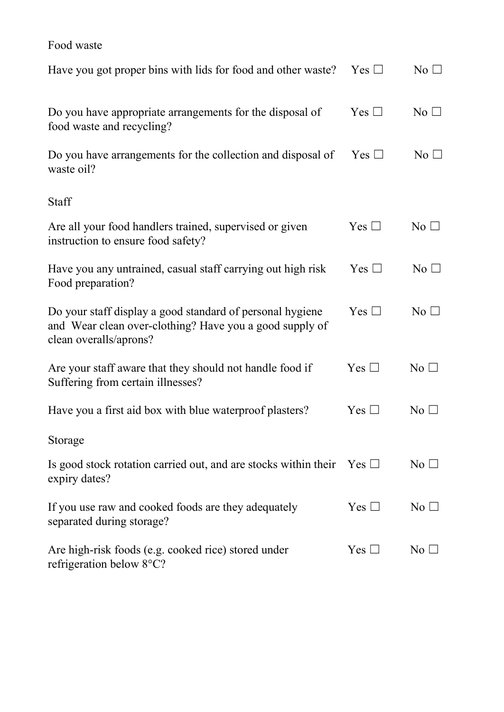## Food waste

| Have you got proper bins with lids for food and other waste?                                                                                   | $Yes \Box$    | $\rm No \ \Box$ |
|------------------------------------------------------------------------------------------------------------------------------------------------|---------------|-----------------|
| Do you have appropriate arrangements for the disposal of<br>food waste and recycling?                                                          | Yes $\Box$    | No <sub>1</sub> |
| Do you have arrangements for the collection and disposal of<br>waste oil?                                                                      | Yes $\Box$    | $No$ $\square$  |
| Staff                                                                                                                                          |               |                 |
| Are all your food handlers trained, supervised or given<br>instruction to ensure food safety?                                                  | Yes $\square$ | $No$ $\square$  |
| Have you any untrained, casual staff carrying out high risk<br>Food preparation?                                                               | Yes $\square$ | No $\square$    |
| Do your staff display a good standard of personal hygiene<br>and Wear clean over-clothing? Have you a good supply of<br>clean overalls/aprons? | Yes $\Box$    | $No$ $\square$  |
| Are your staff aware that they should not handle food if<br>Suffering from certain illnesses?                                                  | Yes $\Box$    | $\rm No$ $\Box$ |
| Have you a first aid box with blue waterproof plasters?                                                                                        | Yes $\square$ | $\rm No$ $\Box$ |
| Storage                                                                                                                                        |               |                 |
| Is good stock rotation carried out, and are stocks within their<br>expiry dates?                                                               | $Yes \Box$    | $\rm No$ $\Box$ |
| If you use raw and cooked foods are they adequately<br>separated during storage?                                                               | Yes $\square$ | $\rm No~\Box$   |
| Are high-risk foods (e.g. cooked rice) stored under<br>refrigeration below 8°C?                                                                | Yes $\square$ | $\rm No$ $\Box$ |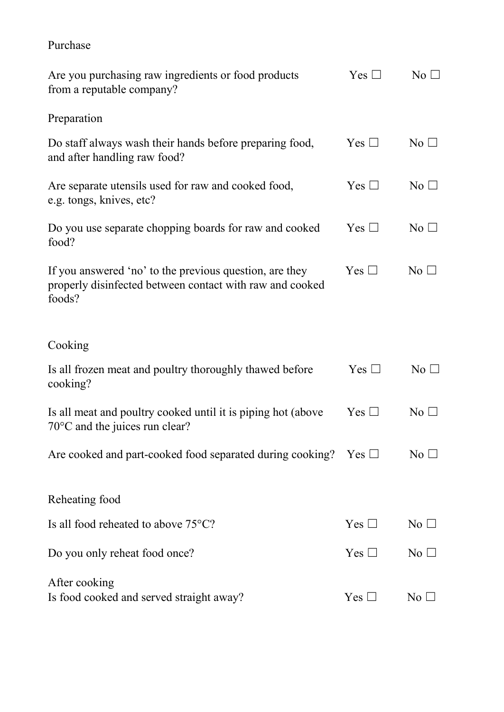## Purchase

| Are you purchasing raw ingredients or food products<br>from a reputable company?                                              | Yes $\square$ | $\rm No$ $\Box$ |
|-------------------------------------------------------------------------------------------------------------------------------|---------------|-----------------|
| Preparation                                                                                                                   |               |                 |
| Do staff always wash their hands before preparing food,<br>and after handling raw food?                                       | Yes $\Box$    | No $\Box$       |
| Are separate utensils used for raw and cooked food,<br>e.g. tongs, knives, etc?                                               | Yes $\Box$    | $\rm No \ \Box$ |
| Do you use separate chopping boards for raw and cooked<br>food?                                                               | Yes $\Box$    | $\rm No$ $\Box$ |
| If you answered 'no' to the previous question, are they<br>properly disinfected between contact with raw and cooked<br>foods? | Yes $\Box$    | $\rm No$ $\Box$ |
| Cooking                                                                                                                       |               |                 |
| Is all frozen meat and poultry thoroughly thawed before<br>cooking?                                                           | Yes $\Box$    | $\rm No$ $\Box$ |
| Is all meat and poultry cooked until it is piping hot (above<br>$70^{\circ}$ C and the juices run clear?                      | Yes $\Box$    | No <sub>1</sub> |
| Are cooked and part-cooked food separated during cooking? Yes $\Box$                                                          |               | $\rm No~\Box$   |
| Reheating food                                                                                                                |               |                 |
| Is all food reheated to above 75°C?                                                                                           | Yes $\square$ | $\rm No$ $\Box$ |
| Do you only reheat food once?                                                                                                 | Yes $\square$ | $\rm No \ \Box$ |
| After cooking<br>Is food cooked and served straight away?                                                                     | Yes $\square$ | No              |